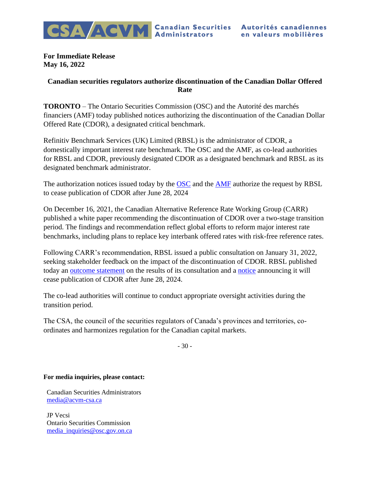

**For Immediate Release May 16, 2022**

## **Canadian securities regulators authorize discontinuation of the Canadian Dollar Offered Rate**

**TORONTO** – The Ontario Securities Commission (OSC) and the Autorité des marchés financiers (AMF) today published notices authorizing the discontinuation of the Canadian Dollar Offered Rate (CDOR), a designated critical benchmark.

Refinitiv Benchmark Services (UK) Limited (RBSL) is the administrator of CDOR, a domestically important interest rate benchmark. The OSC and the AMF, as co-lead authorities for RBSL and CDOR, previously designated CDOR as a designated benchmark and RBSL as its designated benchmark administrator.

The authorization notices issued today by the **OSC** and the **AMF** authorize the request by RBSL to cease publication of CDOR after June 28, 2024

On December 16, 2021, the Canadian Alternative Reference Rate Working Group (CARR) published a white paper recommending the discontinuation of CDOR over a two-stage transition period. The findings and recommendation reflect global efforts to reform major interest rate benchmarks, including plans to replace key interbank offered rates with risk-free reference rates.

Following CARR's recommendation, RBSL issued a public consultation on January 31, 2022, seeking stakeholder feedback on the impact of the discontinuation of CDOR. RBSL published today an [outcome statement](https://www.refinitiv.com/content/dam/marketing/en_us/documents/methodology/cdor-outcome-statement.pdf) on the results of its consultation and a [notice](https://www.refinitiv.com/content/dam/marketing/en_us/documents/methodology/cdor-cessation-notice.pdf) announcing it will cease publication of CDOR after June 28, 2024.

The co-lead authorities will continue to conduct appropriate oversight activities during the transition period.

The CSA, the council of the securities regulators of Canada's provinces and territories, coordinates and harmonizes regulation for the Canadian capital markets.

- 30 -

## **For media inquiries, please contact:**

Canadian Securities Administrators [media@acvm-csa.ca](mailto:media@acvm-csa.ca)

JP Vecsi Ontario Securities Commission [media\\_inquiries@osc.gov.on.ca](mailto:media_inquiries@osc.gov.on.ca)